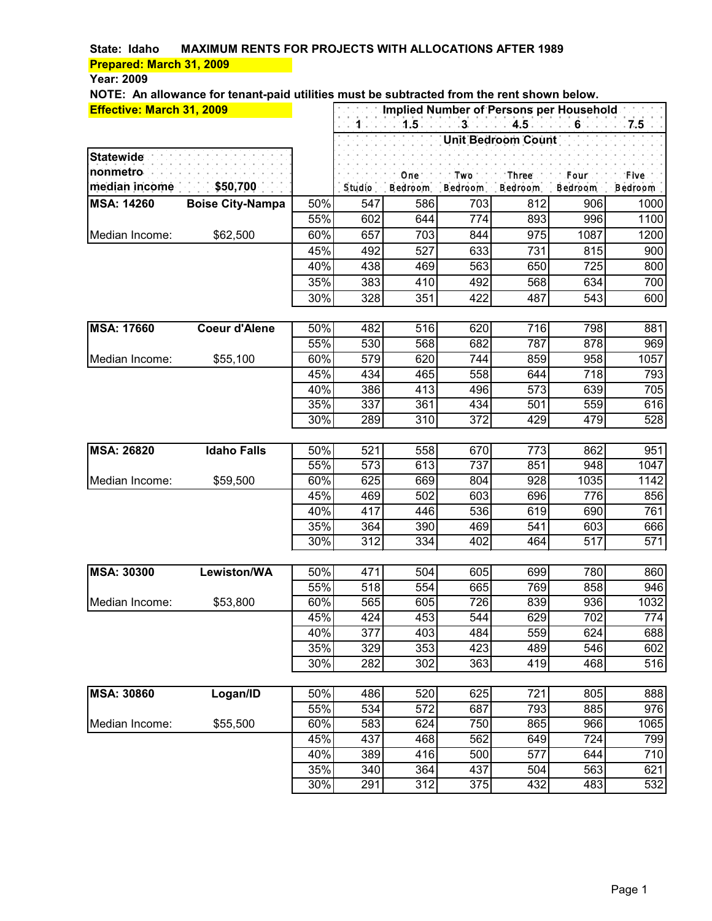### **Year: 2009**

| Effective: March 31, 2009 |                         |            | Implied Number of Persons per Household |            |                  |                           |             |                |  |
|---------------------------|-------------------------|------------|-----------------------------------------|------------|------------------|---------------------------|-------------|----------------|--|
|                           |                         |            | $1 - 1$                                 | $1.5 -$    | $-3 - 3$         |                           | $6 - 7.5$   |                |  |
|                           |                         |            |                                         |            |                  | <b>Unit Bedroom Count</b> |             |                |  |
| <b>Statewide</b>          |                         |            |                                         |            |                  |                           |             |                |  |
| nonmetro                  |                         |            |                                         | One.       | . Two: $\Box$    | Three.                    | ".Four".    | . Five         |  |
| median income             | \$50,700                |            | Studio                                  | Bedroom    | Bedroom          | Bedroom                   | Bedroom     | <b>Bedroom</b> |  |
| <b>MSA: 14260</b>         | <b>Boise City-Nampa</b> | 50%        | 547                                     | 586        | 703              | 812                       | 906         | 1000           |  |
|                           |                         | 55%        | 602                                     | 644        | 774              | 893                       | 996         | 1100           |  |
| Median Income:            | \$62,500                | 60%        | 657                                     | 703        | 844              | 975                       | 1087        | 1200           |  |
|                           |                         | 45%        | 492                                     | 527        | 633              | 731                       | 815         | 900            |  |
|                           |                         | 40%        | 438                                     | 469        | 563              | 650                       | 725         | 800            |  |
|                           |                         | 35%        | 383                                     | 410        | 492              | 568                       | 634         | 700            |  |
|                           |                         | 30%        | 328                                     | 351        | 422              | 487                       | 543         | 600            |  |
|                           |                         |            |                                         |            |                  |                           |             |                |  |
| <b>MSA: 17660</b>         | <b>Coeur d'Alene</b>    | 50%        | 482                                     | 516        | 620              | 716                       | 798         | 881            |  |
|                           |                         | 55%        | 530                                     | 568        | 682              | 787                       | 878         | 969            |  |
| Median Income:            | \$55,100                | 60%        | 579                                     | 620        | 744              | 859                       | 958         | 1057           |  |
|                           |                         | 45%        | 434                                     | 465        | 558              | 644                       | 718         | 793            |  |
|                           |                         | 40%        | 386                                     | 413        | 496              | 573                       | 639         | 705            |  |
|                           |                         | 35%        | 337                                     | 361        | 434              | 501                       | 559         | 616            |  |
|                           |                         | 30%        | 289                                     | 310        | 372              | 429                       | 479         | 528            |  |
|                           |                         |            |                                         |            |                  |                           |             |                |  |
| <b>MSA: 26820</b>         | <b>Idaho Falls</b>      | 50%        | 521                                     | 558        | 670              | 773                       | 862         | 951            |  |
|                           |                         | 55%        | 573                                     | 613        | 737              | 851                       | 948         | 1047           |  |
| Median Income:            | \$59,500                | 60%<br>45% | 625<br>469                              | 669<br>502 | 804<br>603       | 928<br>696                | 1035<br>776 | 1142<br>856    |  |
|                           |                         | 40%        | 417                                     | 446        | 536              | 619                       | 690         | 761            |  |
|                           |                         | 35%        | 364                                     | 390        | 469              | 541                       | 603         | 666            |  |
|                           |                         | 30%        | 312                                     | 334        | 402              | 464                       | 517         | 571            |  |
|                           |                         |            |                                         |            |                  |                           |             |                |  |
| <b>MSA: 30300</b>         | Lewiston/WA             | 50%        | 471                                     | 504        | 605              | 699                       | 780         | 860            |  |
|                           |                         | 55%        | 518                                     | 554        | 665              | 769                       | 858         | 946            |  |
| Median Income:            | \$53,800                | 60%        | 565                                     | 605        | 726              | 839                       | 936         | 1032           |  |
|                           |                         | 45%        | 424                                     | 453        | 544              | 629                       | 702         | 774            |  |
|                           |                         | 40%        | 377                                     | 403        | 484              | 559                       | 624         | 688            |  |
|                           |                         | 35%        | 329                                     | 353        | 423              | 489                       | 546         | 602            |  |
|                           |                         | 30%        | $\overline{282}$                        | 302        | $\overline{363}$ | 419                       | 468         | 516            |  |
|                           |                         |            |                                         |            |                  |                           |             |                |  |
| <b>MSA: 30860</b>         | Logan/ID                | 50%        | 486                                     | 520        | 625              | 721                       | 805         | 888            |  |
|                           |                         | 55%        | 534                                     | 572        | 687              | 793                       | 885         | 976            |  |
| Median Income:            | \$55,500                | 60%        | 583                                     | 624        | 750              | 865                       | 966         | 1065           |  |
|                           |                         | 45%        | 437                                     | 468        | 562              | 649                       | 724         | 799            |  |
|                           |                         | 40%        | 389                                     | 416        | 500              | 577                       | 644         | 710            |  |
|                           |                         | 35%        | 340                                     | 364        | 437              | 504                       | 563         | 621            |  |
|                           |                         | 30%        | 291                                     | 312        | 375              | 432                       | 483         | 532            |  |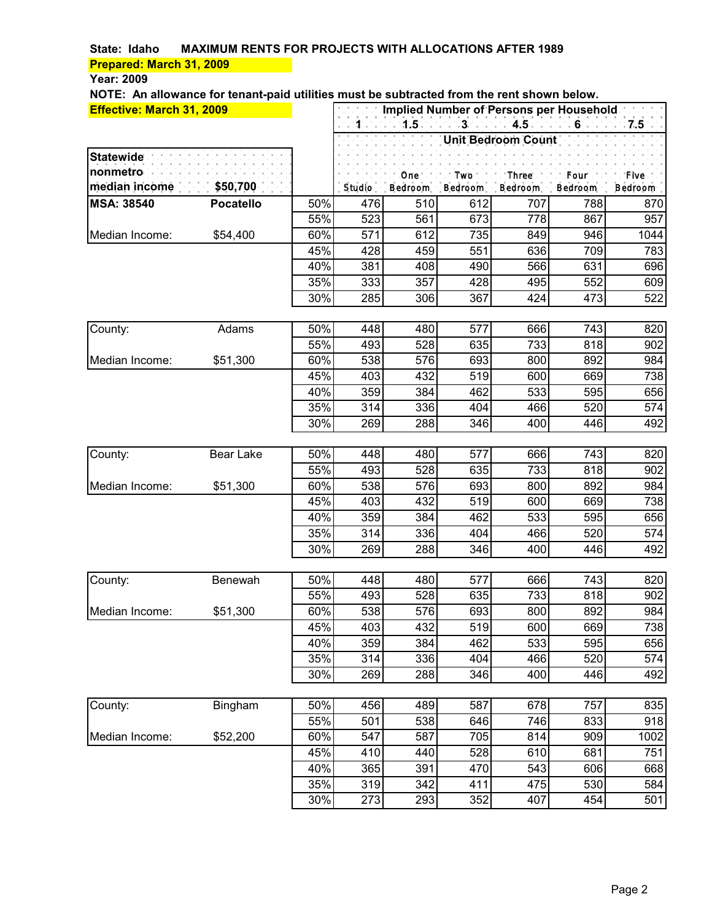### **Year: 2009**

| Effective: March 31, 2009 |                  | Implied Number of Persons per Household |        |                |           |                           |                          |         |
|---------------------------|------------------|-----------------------------------------|--------|----------------|-----------|---------------------------|--------------------------|---------|
|                           |                  |                                         | $1 -$  | 1.5            | - 3 - 1 - | $4.5 -$                   | $-6$ . The set of $\sim$ | $7.5 -$ |
|                           |                  |                                         |        |                |           | <b>Unit Bedroom Count</b> |                          |         |
| <b>Statewide</b>          |                  |                                         |        |                |           |                           |                          |         |
| nonmetro                  |                  |                                         |        | One.           | . Two.    | Three.                    | .Four :                  | . Five  |
| median income             | \$50,700         |                                         | Studio | <b>Bedroom</b> | Bedroom   | <b>Bedroom</b>            | Bedroom                  | Bedroom |
| <b>MSA: 38540</b>         | <b>Pocatello</b> | 50%                                     | 476    | 510            | 612       | 707                       | 788                      | 870     |
|                           |                  | 55%                                     | 523    | 561            | 673       | 778                       | 867                      | 957     |
| Median Income:            | \$54,400         | 60%                                     | 571    | 612            | 735       | 849                       | 946                      | 1044    |
|                           |                  | 45%                                     | 428    | 459            | 551       | 636                       | 709                      | 783     |
|                           |                  | 40%                                     | 381    | 408            | 490       | 566                       | 631                      | 696     |
|                           |                  | 35%                                     | 333    | 357            | 428       | 495                       | 552                      | 609     |
|                           |                  | 30%                                     | 285    | 306            | 367       | 424                       | 473                      | 522     |
| County:                   | Adams            | 50%                                     | 448    | 480            | 577       | 666                       | 743                      | 820     |
|                           |                  | 55%                                     | 493    | 528            | 635       | 733                       | 818                      | 902     |
| Median Income:            | \$51,300         | 60%                                     | 538    | 576            | 693       | 800                       | 892                      | 984     |
|                           |                  | 45%                                     | 403    | 432            | 519       | 600                       | 669                      | 738     |
|                           |                  | 40%                                     | 359    | 384            | 462       | 533                       | 595                      | 656     |
|                           |                  | 35%                                     | 314    | 336            | 404       | 466                       | 520                      | 574     |
|                           |                  | 30%                                     | 269    | 288            | 346       | 400                       | 446                      | 492     |
| County:                   | <b>Bear Lake</b> | 50%                                     | 448    | 480            | 577       | 666                       | 743                      | 820     |
|                           |                  | 55%                                     | 493    | 528            | 635       | 733                       | 818                      | 902     |
| Median Income:            | \$51,300         | 60%                                     | 538    | 576            | 693       | 800                       | 892                      | 984     |
|                           |                  | 45%                                     | 403    | 432            | 519       | 600                       | 669                      | 738     |
|                           |                  | 40%                                     | 359    | 384            | 462       | 533                       | 595                      | 656     |
|                           |                  | 35%                                     | 314    | 336            | 404       | 466                       | 520                      | 574     |
|                           |                  | 30%                                     | 269    | 288            | 346       | 400                       | 446                      | 492     |
| County:                   | Benewah          | 50%                                     | 448    | 480            | 577       | 666                       | 743                      | 820     |
|                           |                  | 55%                                     | 493    | 528            | 635       | 733                       | 818                      | 902     |
| Median Income:            | \$51,300         | 60%                                     | 538    | 576            | 693       | 800                       | 892                      | 984     |
|                           |                  | 45%                                     | 403    | 432            | 519       | 600                       | 669                      | 738     |
|                           |                  | 40%                                     | 359    | 384            | 462       | 533                       | 595                      | 656     |
|                           |                  | 35%                                     | 314    | 336            | 404       | 466                       | 520                      | 574     |
|                           |                  | 30%                                     | 269    | 288            | 346       | 400                       | 446                      | 492     |
| County:                   | Bingham          | 50%                                     | 456    | 489            | 587       | 678                       | 757                      | 835     |
|                           |                  | 55%                                     | 501    | 538            | 646       | 746                       | 833                      | 918     |
| Median Income:            | \$52,200         | 60%                                     | 547    | 587            | 705       | 814                       | 909                      | 1002    |
|                           |                  | 45%                                     | 410    | 440            | 528       | 610                       | 681                      | 751     |
|                           |                  | 40%                                     | 365    | 391            | 470       | 543                       | 606                      | 668     |
|                           |                  | 35%                                     | 319    | 342            | 411       | 475                       | 530                      | 584     |
|                           |                  | 30%                                     | 273    | 293            | 352       | 407                       | 454                      | 501     |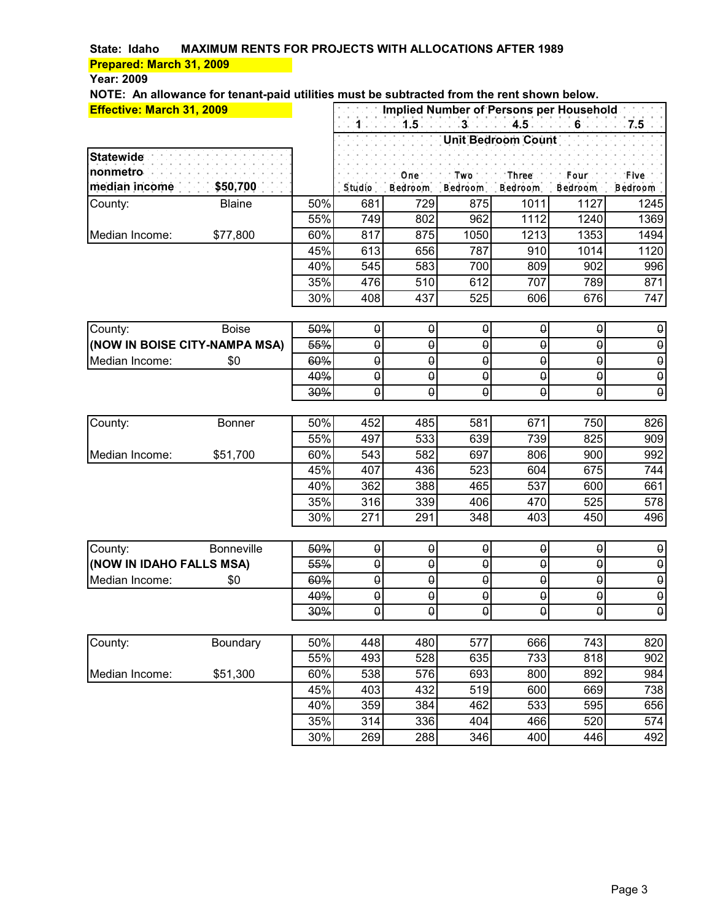### **Year: 2009**

| Effective: March 31, 2009     |                   |            | Implied Number of Persons per Household |                       |                                         |                           |                                  |                       |  |
|-------------------------------|-------------------|------------|-----------------------------------------|-----------------------|-----------------------------------------|---------------------------|----------------------------------|-----------------------|--|
|                               |                   |            | $1 -$                                   | $1.5 -$               | $-3$ . $-1$                             | $4.5 -$                   | $6 -$                            | $7.5 -$               |  |
|                               |                   |            |                                         |                       |                                         | <b>Unit Bedroom Count</b> |                                  |                       |  |
| <b>Statewide</b>              |                   |            |                                         |                       |                                         |                           |                                  |                       |  |
| nonmetro                      |                   |            |                                         | One.                  | . Two $\blacksquare$                    | : Three .                 | .Four :                          | . Five                |  |
| median income                 | \$50,700          |            | Studio                                  | Bedroom               | Bedroom                                 | Bedroom                   | <b>Bedroom</b>                   | Bedroom               |  |
| County:                       | <b>Blaine</b>     | 50%        | 681                                     | 729                   | 875                                     | 1011                      | 1127                             | 1245                  |  |
|                               |                   | 55%        | 749                                     | 802                   | 962                                     | 1112                      | 1240                             | 1369                  |  |
| Median Income:                | \$77,800          | 60%        | 817                                     | 875                   | 1050                                    | 1213                      | 1353                             | 1494                  |  |
|                               |                   | 45%        | 613                                     | 656                   | 787                                     | 910                       | 1014                             | 1120                  |  |
|                               |                   | 40%        | 545                                     | 583                   | 700                                     | 809                       | 902                              | 996                   |  |
|                               |                   | 35%        | 476                                     | 510                   | 612                                     | 707                       | 789                              | 871                   |  |
|                               |                   | 30%        | 408                                     | 437                   | 525                                     | 606                       | 676                              | 747                   |  |
|                               |                   |            |                                         |                       |                                         |                           |                                  |                       |  |
| County:                       | <b>Boise</b>      | 50%        | $\boldsymbol{\theta}$                   | $\boldsymbol{\theta}$ | θ                                       | θ                         | $\pmb{\uptheta}$                 | $\pmb{\theta}$        |  |
| (NOW IN BOISE CITY-NAMPA MSA) |                   | 55%        | θ                                       | $\theta$              | θ                                       | θ                         | $\theta$                         | $\pmb{\Theta}$        |  |
| Median Income:                | \$0               | 60%        | $\boldsymbol{\theta}$                   | $\theta$              | θ                                       | θ                         | $\pmb{\theta}$                   | $\boldsymbol{\theta}$ |  |
|                               |                   | 40%        | $\boldsymbol{\theta}$                   | $\boldsymbol{\theta}$ | θ                                       | $\boldsymbol{\theta}$     | $\boldsymbol{\theta}$            | $\boldsymbol{\theta}$ |  |
|                               |                   | 30%        | $\Theta$                                | $\theta$              | $\theta$                                | θ                         | $\pmb{\theta}$                   | $\pmb{\theta}$        |  |
|                               |                   |            |                                         |                       |                                         |                           |                                  |                       |  |
| County:                       | <b>Bonner</b>     | 50%        | 452                                     | 485                   | 581                                     | 671                       | 750                              | 826                   |  |
|                               |                   | 55%        | 497                                     | 533                   | 639                                     | 739                       | 825                              | 909                   |  |
| Median Income:                | \$51,700          | 60%        | 543                                     | 582                   | 697                                     | 806                       | 900                              | 992                   |  |
|                               |                   | 45%        | 407                                     | 436                   | 523                                     | 604                       | 675                              | 744                   |  |
|                               |                   | 40%        | 362                                     | 388                   | 465                                     | 537                       | 600                              | 661                   |  |
|                               |                   | 35%        | 316                                     | 339                   | 406                                     | 470                       | 525                              | 578                   |  |
|                               |                   | 30%        | 271                                     | 291                   | 348                                     | 403                       | 450                              | 496                   |  |
|                               |                   |            |                                         |                       |                                         |                           |                                  |                       |  |
| County:                       | <b>Bonneville</b> | 50%        | $\pmb{\Theta}$                          | $\pmb{\Theta}$        | $\pmb{\Theta}$                          | $\theta$                  | $\pmb{\uptheta}$                 | $\pmb{\theta}$        |  |
| (NOW IN IDAHO FALLS MSA)      |                   | 55%        | θ                                       | $\theta$              | $\theta$                                | θ                         | $\pmb{\theta}$                   | $\boldsymbol{\theta}$ |  |
| Median Income:                | \$0               | 60%        | $\boldsymbol{\theta}$                   | $\Theta$              | $\boldsymbol{\theta}$                   | θ                         | $\pmb{\Theta}$                   | $\boldsymbol{\theta}$ |  |
|                               |                   | 40%<br>30% | θ<br>$\pmb{\Theta}$                     | θ<br>$\theta$         | $\boldsymbol{\theta}$<br>$\pmb{\Theta}$ | θ                         | $\pmb{\Theta}$<br>$\pmb{\Theta}$ | $\boldsymbol{\theta}$ |  |
|                               |                   |            |                                         |                       |                                         | θ                         |                                  | $\pmb{\Theta}$        |  |
| County:                       | Boundary          | 50%        | 448                                     | 480                   | 577                                     | 666                       | 743                              | 820                   |  |
|                               |                   | 55%        | 493                                     | 528                   | 635                                     | 733                       | 818                              | 902                   |  |
| Median Income:                | \$51,300          | 60%        | 538                                     | 576                   | 693                                     | 800                       | 892                              | 984                   |  |
|                               |                   | 45%        | 403                                     | 432                   | 519                                     | 600                       | 669                              | 738                   |  |
|                               |                   | 40%        | 359                                     | 384                   | 462                                     | 533                       | 595                              | 656                   |  |
|                               |                   | 35%        | 314                                     | 336                   | 404                                     | 466                       | 520                              | 574                   |  |
|                               |                   | 30%        | 269                                     | 288                   | 346                                     | 400                       | 446                              | 492                   |  |
|                               |                   |            |                                         |                       |                                         |                           |                                  |                       |  |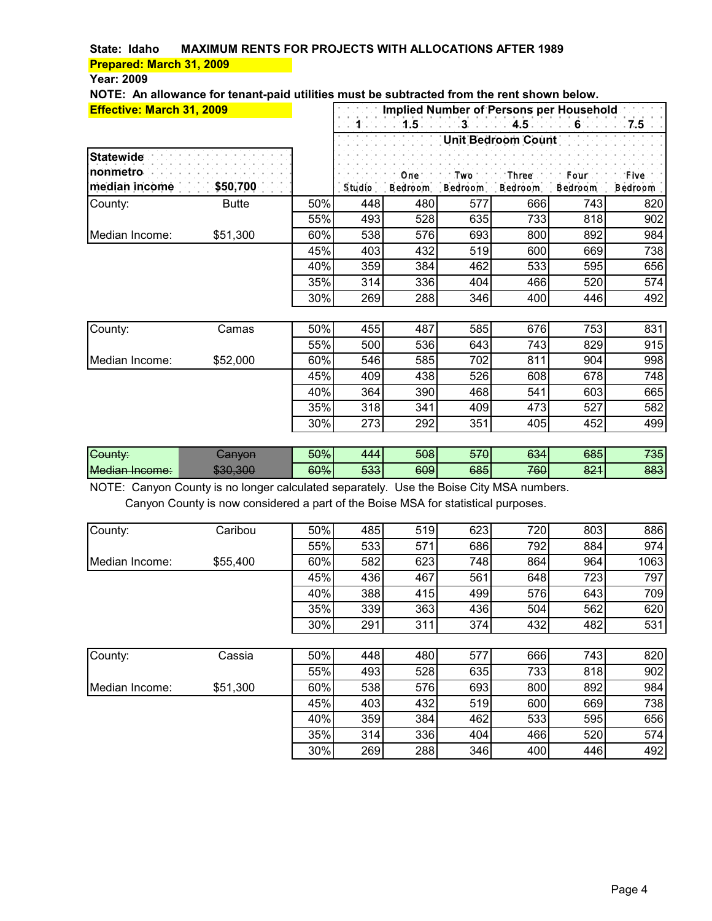#### **Year: 2009**

**NOTE: An allowance for tenant-paid utilities must be subtracted from the rent shown below.**

| <b>Effective: March 31, 2009</b>                       |              |     | Implied Number of Persons per Household |     |     |                                                                                               |     |         |  |  |
|--------------------------------------------------------|--------------|-----|-----------------------------------------|-----|-----|-----------------------------------------------------------------------------------------------|-----|---------|--|--|
|                                                        |              |     |                                         |     |     |                                                                                               |     |         |  |  |
|                                                        |              |     |                                         |     |     | Unit Bedroom Count                                                                            |     |         |  |  |
| <b>Statewide</b><br>nonmetro<br>median income \$50,700 |              |     |                                         |     |     | One. The Two Theory Three Profile Four Pro-<br>Studio Bedroom Bedroom Bedroom Bedroom Bedroom |     | ∴ Five' |  |  |
| County:                                                | <b>Butte</b> | 50% | 448                                     | 480 | 577 | 666                                                                                           | 743 | 820     |  |  |
|                                                        |              | 55% | 493                                     | 528 | 635 | 733                                                                                           | 818 | 902     |  |  |
| Median Income:                                         | \$51,300     | 60% | 538                                     | 576 | 693 | 800                                                                                           | 892 | 984     |  |  |
|                                                        |              | 45% | 403                                     | 432 | 519 | 600                                                                                           | 669 | 738     |  |  |
|                                                        |              | 40% | 359                                     | 384 | 462 | 533                                                                                           | 595 | 656     |  |  |
|                                                        |              | 35% | 314                                     | 336 | 404 | 466                                                                                           | 520 | 574     |  |  |
|                                                        |              | 30% | 269                                     | 288 | 346 | 400                                                                                           | 446 | 492     |  |  |
|                                                        |              |     |                                         |     |     |                                                                                               |     |         |  |  |
| County:                                                | Camas        | 50% | 455                                     | 487 | 585 | 676                                                                                           | 753 | 831     |  |  |
|                                                        |              | 55% | 500                                     | 536 | 643 | 743                                                                                           | 829 | 915     |  |  |
| Median Income:                                         | \$52,000     | 60% | 546                                     | 585 | 702 | 811                                                                                           | 904 | 998     |  |  |
|                                                        |              | 45% | 409                                     | 438 | 526 | 608                                                                                           | 678 | 748     |  |  |
|                                                        |              | 40% | 364                                     | 390 | 468 | 541                                                                                           | 603 | 665     |  |  |
|                                                        |              | 35% | 318                                     | 341 | 409 | 473                                                                                           | 527 | 582     |  |  |
|                                                        |              | 30% | 273                                     | 292 | 351 | 405                                                                                           | 452 | 499     |  |  |

| -<br>Gount∨           | TVUT            | <del>50%</del> | 14       | 508 | E70<br>ਹਾਰ | 634 | 685        | 735 |
|-----------------------|-----------------|----------------|----------|-----|------------|-----|------------|-----|
| <b>Median Income:</b> | $\Omega$<br>sut | 60%            | 533<br>ᡂ | 609 | 685        | 760 | nn 4<br>ΘΖ | 883 |

NOTE: Canyon County is no longer calculated separately. Use the Boise City MSA numbers. Canyon County is now considered a part of the Boise MSA for statistical purposes.

| County:        | Caribou  | 50% | 485 | 519 | 623 | 720 | 803 | 886  |
|----------------|----------|-----|-----|-----|-----|-----|-----|------|
|                |          | 55% | 533 | 571 | 686 | 792 | 884 | 974  |
| Median Income: | \$55,400 | 60% | 582 | 623 | 748 | 864 | 964 | 1063 |
|                |          | 45% | 436 | 467 | 561 | 648 | 723 | 797  |
|                |          | 40% | 388 | 415 | 499 | 576 | 643 | 709  |
|                |          | 35% | 339 | 363 | 436 | 504 | 562 | 620  |
|                |          | 30% | 291 | 311 | 374 | 432 | 482 | 531  |
|                |          |     |     |     |     |     |     |      |
| County:        | Cassia   | 50% | 448 | 480 | 577 | 666 | 743 | 820  |
|                |          | 55% | 493 | 528 | 635 | 733 | 818 | 902  |
| Median Income: | \$51,300 | 60% | 538 | 576 | 693 | 800 | 892 | 984  |
|                |          | 45% | 403 | 432 | 519 | 600 | 669 | 738  |
|                |          | 40% | 359 | 384 | 462 | 533 | 595 | 656  |
|                |          | 35% | 314 | 336 | 404 | 466 | 520 | 574  |
|                |          | 30% | 269 | 288 | 346 | 400 | 446 | 492  |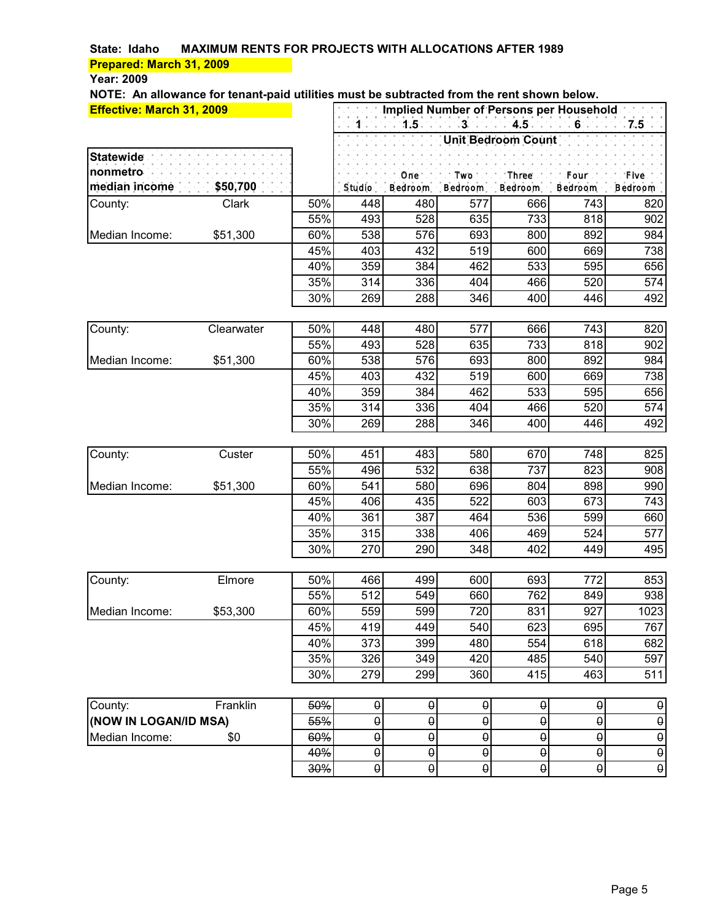#### **Year: 2009**

| <b>Effective: March 31, 2009</b> |            |     |                       |                       |                       | Implied Number of Persons per Household |                       |                       |
|----------------------------------|------------|-----|-----------------------|-----------------------|-----------------------|-----------------------------------------|-----------------------|-----------------------|
|                                  |            |     | $1 - 1$               | 1.5                   | $\sim$ 3.             | $4.5 -$                                 | $-6 -$                | 7.5                   |
|                                  |            |     |                       |                       |                       | Unit Bedroom Count                      |                       |                       |
| <b>Statewide</b>                 |            |     |                       |                       |                       |                                         |                       |                       |
| nonmetro                         |            |     |                       | One.                  | . Two $\cdot$         | Three.                                  | .Four :               | . Five                |
| median income                    | \$50,700   |     | Studio                | Bedroom               | Bedroom               | <b>Bedroom</b>                          | Bedroom               | Bedroom               |
| County:                          | Clark      | 50% | 448                   | 480                   | 577                   | 666                                     | 743                   | 820                   |
|                                  |            | 55% | 493                   | 528                   | 635                   | 733                                     | 818                   | 902                   |
| Median Income:                   | \$51,300   | 60% | 538                   | 576                   | 693                   | 800                                     | 892                   | 984                   |
|                                  |            | 45% | 403                   | 432                   | 519                   | 600                                     | 669                   | 738                   |
|                                  |            | 40% | 359                   | 384                   | 462                   | 533                                     | 595                   | 656                   |
|                                  |            | 35% | 314                   | 336                   | 404                   | 466                                     | 520                   | 574                   |
|                                  |            | 30% | 269                   | 288                   | 346                   | 400                                     | 446                   | 492                   |
|                                  |            |     |                       |                       |                       |                                         |                       |                       |
| County:                          | Clearwater | 50% | 448                   | 480                   | 577                   | 666                                     | 743                   | 820                   |
|                                  |            | 55% | 493                   | 528                   | 635                   | 733                                     | 818                   | 902                   |
| Median Income:                   | \$51,300   | 60% | 538                   | 576                   | 693                   | 800                                     | 892                   | 984                   |
|                                  |            | 45% | 403                   | 432                   | 519                   | 600                                     | 669                   | 738                   |
|                                  |            | 40% | 359                   | 384                   | 462                   | 533                                     | 595                   | 656                   |
|                                  |            | 35% | 314                   | 336                   | 404                   | 466                                     | 520                   | 574                   |
|                                  |            | 30% | 269                   | 288                   | 346                   | 400                                     | 446                   | 492                   |
| County:                          | Custer     | 50% | 451                   | 483                   | 580                   | 670                                     | 748                   | 825                   |
|                                  |            | 55% | 496                   | 532                   | 638                   | 737                                     | 823                   | 908                   |
| Median Income:                   | \$51,300   | 60% | 541                   | 580                   | 696                   | 804                                     | 898                   | 990                   |
|                                  |            | 45% | 406                   | 435                   | 522                   | 603                                     | 673                   | 743                   |
|                                  |            | 40% | 361                   | 387                   | 464                   | 536                                     | 599                   | 660                   |
|                                  |            | 35% | 315                   | 338                   | 406                   | 469                                     | 524                   | 577                   |
|                                  |            | 30% | 270                   | 290                   | 348                   | 402                                     | 449                   | 495                   |
|                                  |            |     |                       |                       |                       |                                         |                       |                       |
| County:                          | Elmore     | 50% | 466                   | 499                   | 600                   | 693                                     | 772                   | 853                   |
|                                  |            | 55% | 512                   | 549                   | 660                   | 762                                     | 849                   | 938                   |
| Median Income:                   | \$53,300   | 60% | 559                   | 599                   | 720                   | 831                                     | 927                   | 1023                  |
|                                  |            | 45% | 419                   | 449                   | 540                   | 623                                     | 695                   | 767                   |
|                                  |            | 40% | 373                   | 399                   | 480                   | 554                                     | 618                   | 682                   |
|                                  |            | 35% | 326                   | 349                   | 420                   | 485                                     | 540                   | 597                   |
|                                  |            | 30% | 279                   | 299                   | 360                   | 415                                     | 463                   | 511                   |
| County:                          | Franklin   | 50% | $\theta$              | $\boldsymbol{\theta}$ | $\pmb{\theta}$        | $\pmb{\uptheta}$                        | $\pmb{\theta}$        | $\pmb{\theta}$        |
| (NOW IN LOGAN/ID MSA)            |            | 55% | $\pmb{\Theta}$        | $\pmb{\Theta}$        | $\pmb{\Theta}$        | $\theta$                                | $\pmb{\uptheta}$      | $\pmb{\uptheta}$      |
| Median Income:                   | \$0        | 60% | $\pmb{\Theta}$        | $\pmb{\Theta}$        | $\pmb{\Theta}$        | $\pmb{\Theta}$                          | $\pmb{\Theta}$        | $\pmb{\uptheta}$      |
|                                  |            | 40% | $\boldsymbol{\theta}$ | $\boldsymbol{\theta}$ | $\boldsymbol{\theta}$ | $\boldsymbol{\theta}$                   | $\boldsymbol{\theta}$ | $\boldsymbol{\theta}$ |
|                                  |            | 30% | $\theta$              | $\Theta$              | $\Theta$              | $\boldsymbol{\theta}$                   | $\boldsymbol{\theta}$ | $\boldsymbol{\theta}$ |
|                                  |            |     |                       |                       |                       |                                         |                       |                       |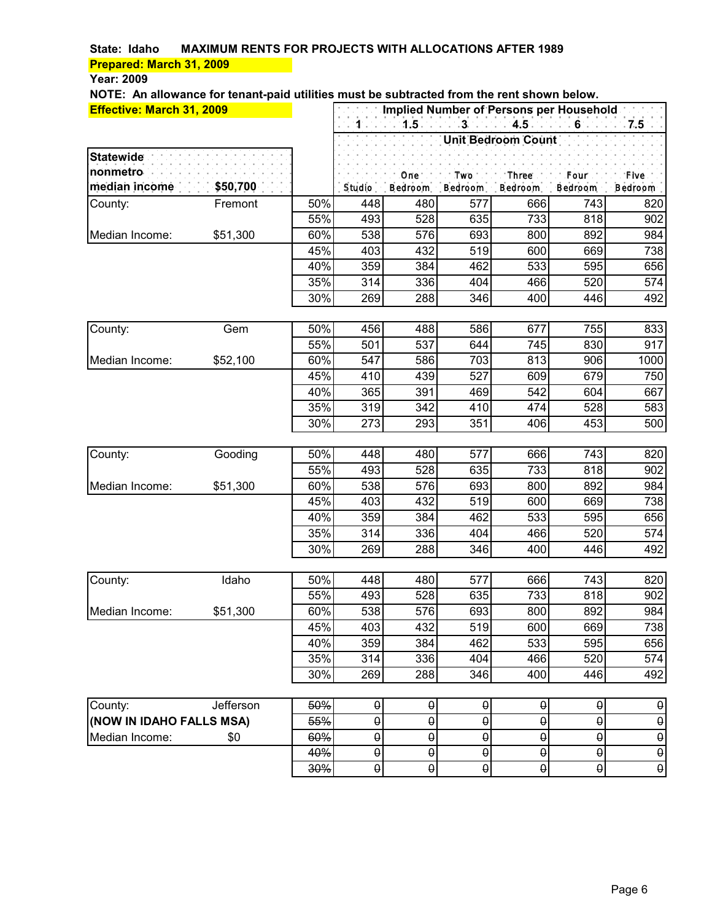### **Year: 2009**

| <b>Effective: March 31, 2009</b> |           |            | Implied Number of Persons per Household |                       |                       |                           |                                                                                                                                                                                                 |                       |  |
|----------------------------------|-----------|------------|-----------------------------------------|-----------------------|-----------------------|---------------------------|-------------------------------------------------------------------------------------------------------------------------------------------------------------------------------------------------|-----------------------|--|
|                                  |           |            | $1 - 1$                                 | 1.5                   | $3 - 4.5$             |                           | $\mathcal{L}^{\mathcal{L}}\left(\mathcal{L}^{\mathcal{L}}\right)=\left(\mathbf{G}^{\mathcal{L}}\right)\mathcal{L}^{\mathcal{L}}\left(\mathcal{L}^{\mathcal{L}}\right)\mathcal{L}^{\mathcal{L}}$ | $7.5 -$               |  |
|                                  |           |            |                                         |                       |                       | <b>Unit Bedroom Count</b> |                                                                                                                                                                                                 |                       |  |
| <b>Statewide</b>                 |           |            |                                         |                       |                       |                           |                                                                                                                                                                                                 |                       |  |
| nonmetro                         |           |            |                                         | One.                  | Two <sup>-</sup> .    | : Three.                  | .Four :                                                                                                                                                                                         | . Five:               |  |
| median income                    | \$50,700  |            | Studio                                  | Bedroom               | Bedroom               | Bedroom                   | Bedroom                                                                                                                                                                                         | Bedroom               |  |
| County:                          | Fremont   | 50%        | 448                                     | 480                   | 577                   | 666                       | 743                                                                                                                                                                                             | 820                   |  |
|                                  |           | 55%        | 493                                     | 528                   | 635                   | 733                       | 818                                                                                                                                                                                             | 902                   |  |
| Median Income:                   | \$51,300  | 60%        | 538                                     | 576                   | 693                   | 800                       | 892                                                                                                                                                                                             | 984                   |  |
|                                  |           | 45%        | 403                                     | 432                   | 519                   | 600                       | 669                                                                                                                                                                                             | 738                   |  |
|                                  |           | 40%        | 359                                     | 384                   | 462                   | 533                       | 595                                                                                                                                                                                             | 656                   |  |
|                                  |           | 35%        | 314                                     | 336                   | 404                   | 466                       | 520                                                                                                                                                                                             | 574                   |  |
|                                  |           | 30%        | 269                                     | 288                   | 346                   | 400                       | 446                                                                                                                                                                                             | 492                   |  |
|                                  |           |            |                                         |                       |                       |                           |                                                                                                                                                                                                 |                       |  |
| County:                          | Gem       | 50%<br>55% | 456                                     | 488<br>537            | 586                   | 677<br>745                | 755<br>830                                                                                                                                                                                      | 833<br>917            |  |
| Median Income:                   | \$52,100  | 60%        | 501<br>547                              | 586                   | 644<br>703            | 813                       | 906                                                                                                                                                                                             | 1000                  |  |
|                                  |           | 45%        | 410                                     | 439                   | 527                   | 609                       | 679                                                                                                                                                                                             | 750                   |  |
|                                  |           | 40%        | 365                                     | 391                   | 469                   | 542                       | 604                                                                                                                                                                                             | 667                   |  |
|                                  |           | 35%        | 319                                     | 342                   | 410                   | 474                       | 528                                                                                                                                                                                             | 583                   |  |
|                                  |           | 30%        | 273                                     | 293                   | 351                   | 406                       | 453                                                                                                                                                                                             | 500                   |  |
|                                  |           |            |                                         |                       |                       |                           |                                                                                                                                                                                                 |                       |  |
| County:                          | Gooding   | 50%        | 448                                     | 480                   | 577                   | 666                       | 743                                                                                                                                                                                             | 820                   |  |
|                                  |           | 55%        | 493                                     | 528                   | 635                   | 733                       | 818                                                                                                                                                                                             | 902                   |  |
| Median Income:                   | \$51,300  | 60%        | 538                                     | 576                   | 693                   | 800                       | 892                                                                                                                                                                                             | 984                   |  |
|                                  |           | 45%        | 403                                     | 432                   | 519                   | 600                       | 669                                                                                                                                                                                             | 738                   |  |
|                                  |           | 40%        | 359                                     | 384                   | 462                   | 533                       | 595                                                                                                                                                                                             | 656                   |  |
|                                  |           | 35%        | 314                                     | 336                   | 404                   | 466                       | 520                                                                                                                                                                                             | 574                   |  |
|                                  |           | 30%        | 269                                     | 288                   | 346                   | 400                       | 446                                                                                                                                                                                             | 492                   |  |
|                                  |           |            |                                         |                       |                       |                           |                                                                                                                                                                                                 |                       |  |
| County:                          | Idaho     | 50%        | 448                                     | 480                   | 577                   | 666                       | 743                                                                                                                                                                                             | 820                   |  |
|                                  |           | 55%        | 493                                     | 528                   | 635                   | 733                       | 818                                                                                                                                                                                             | 902                   |  |
| Median Income:                   | \$51,300  | 60%        | 538                                     | 576                   | 693                   | 800                       | 892                                                                                                                                                                                             | 984                   |  |
|                                  |           | 45%        | 403                                     | 432                   | 519                   | 600                       | 669                                                                                                                                                                                             | 738                   |  |
|                                  |           | 40%        | 359                                     | 384                   | 462                   | 533                       | 595                                                                                                                                                                                             | 656                   |  |
|                                  |           | 35%        | 314                                     | 336                   | 404                   | 466                       | 520                                                                                                                                                                                             | 574                   |  |
|                                  |           | 30%        | 269                                     | 288                   | 346                   | 400                       | 446                                                                                                                                                                                             | 492                   |  |
| County:                          | Jefferson | 50%        | $\theta$                                | $\boldsymbol{\theta}$ | $\pmb{\Theta}$        | θ                         | $\theta$                                                                                                                                                                                        | $\pmb{\theta}$        |  |
| (NOW IN IDAHO FALLS MSA)         |           | 55%        | $\pmb{\Theta}$                          | $\pmb{\Theta}$        | $\pmb{\Theta}$        | $\pmb{\Theta}$            | $\theta$                                                                                                                                                                                        | $\pmb{\theta}$        |  |
| Median Income:                   | \$0       | 60%        | $\pmb{\uptheta}$                        | $\pmb{\Theta}$        | θ                     | θ                         | $\theta$                                                                                                                                                                                        | $\pmb{\theta}$        |  |
|                                  |           | 40%        | $\boldsymbol{\theta}$                   | $\boldsymbol{\theta}$ | $\boldsymbol{\theta}$ | $\boldsymbol{\theta}$     | $\boldsymbol{\theta}$                                                                                                                                                                           | $\boldsymbol{\theta}$ |  |
|                                  |           | 30%        | $\Theta$                                | $\Theta$              | $\boldsymbol{\theta}$ | $\theta$                  | $\boldsymbol{\theta}$                                                                                                                                                                           | $\boldsymbol{\theta}$ |  |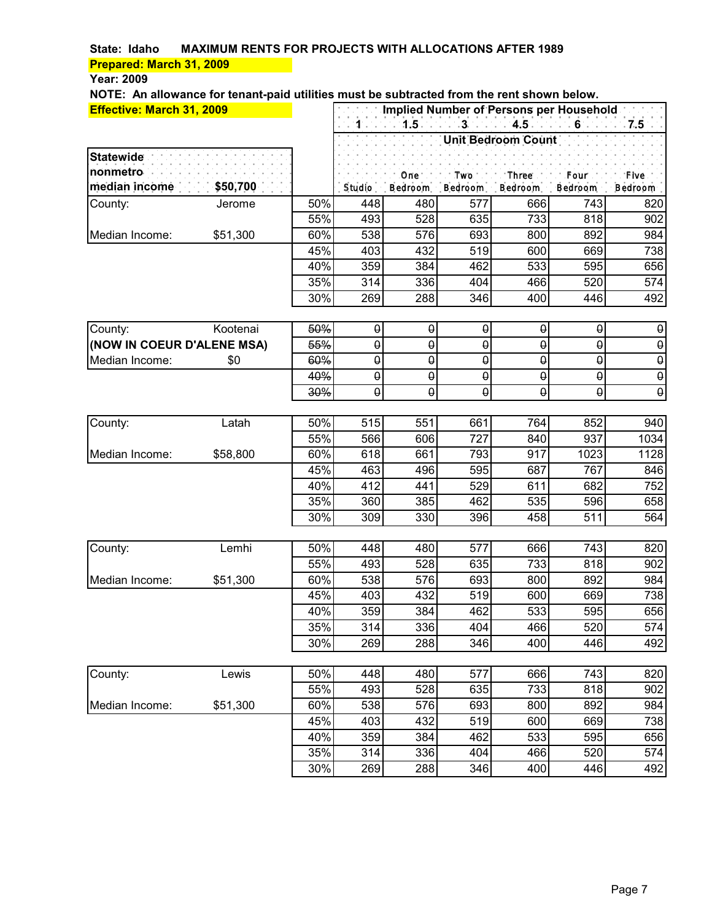### **Year: 2009**

|                                       | Effective: March 31, 2009 |            | Implied Number of Persons per Household |                            |                     |                                 |                       |                                         |  |
|---------------------------------------|---------------------------|------------|-----------------------------------------|----------------------------|---------------------|---------------------------------|-----------------------|-----------------------------------------|--|
|                                       |                           |            | $1$                                     | $1.5 -$                    |                     | $-3$ . $-1$ $4.5$ $-1$ $6$ $-1$ |                       | $7.5 -$                                 |  |
|                                       |                           |            |                                         |                            |                     | <b>Unit Bedroom Count</b>       |                       |                                         |  |
| <b>Statewide</b>                      |                           |            |                                         |                            |                     |                                 |                       |                                         |  |
| nonmetro                              |                           |            |                                         | One.                       | . Two.              | Three.                          | .Four :               | ∵ Five1                                 |  |
| median income                         | \$50,700                  |            | Studio                                  | Bedroom                    | Bedroom             | Bedroom                         | Bedroom               | <b>Bedroom</b>                          |  |
| County:                               | Jerome                    | 50%        | 448                                     | 480                        | 577                 | 666                             | 743                   | 820                                     |  |
|                                       |                           | 55%        | 493                                     | 528                        | 635                 | 733                             | 818                   | 902                                     |  |
| Median Income:                        | \$51,300                  | 60%        | 538                                     | 576                        | 693                 | 800                             | 892                   | 984                                     |  |
|                                       |                           | 45%        | 403                                     | 432                        | 519                 | 600                             | 669                   | 738                                     |  |
|                                       |                           | 40%        | 359                                     | 384                        | 462                 | 533                             | 595                   | 656                                     |  |
|                                       |                           | 35%        | 314                                     | 336                        | 404                 | 466                             | 520                   | 574                                     |  |
|                                       |                           | 30%        | 269                                     | 288                        | 346                 | 400                             | 446                   | 492                                     |  |
|                                       | Kootenai                  |            |                                         |                            |                     |                                 | $\pmb{\uptheta}$      |                                         |  |
| County:<br>(NOW IN COEUR D'ALENE MSA) |                           | 50%<br>55% | $\boldsymbol{\theta}$<br>$\pmb{\theta}$ | $\boldsymbol{\theta}$<br>θ | $\pmb{\theta}$<br>θ | $\pmb{\theta}$<br>θ             | $\theta$              | $\pmb{\theta}$<br>$\boldsymbol{\theta}$ |  |
| Median Income:                        | \$0                       | 60%        | $\pmb{\Theta}$                          | θ                          | θ                   | $\theta$                        | $\theta$              | $\pmb{\theta}$                          |  |
|                                       |                           | 40%        | $\pmb{\Theta}$                          | $\pmb{\Theta}$             | θ                   | $\pmb{\Theta}$                  | $\pmb{\uptheta}$      | $\pmb{\theta}$                          |  |
|                                       |                           | 30%        | $\Theta$                                | $\theta$                   | θ                   | $\theta$                        | $\boldsymbol{\theta}$ | $\boldsymbol{\theta}$                   |  |
|                                       |                           |            |                                         |                            |                     |                                 |                       |                                         |  |
| County:                               | Latah                     | 50%        | 515                                     | 551                        | 661                 | 764                             | 852                   | 940                                     |  |
|                                       |                           | 55%        | 566                                     | 606                        | 727                 | 840                             | 937                   | 1034                                    |  |
| Median Income:                        | \$58,800                  | 60%        | 618                                     | 661                        | 793                 | 917                             | 1023                  | 1128                                    |  |
|                                       |                           | 45%        | 463                                     | 496                        | 595                 | 687                             | 767                   | 846                                     |  |
|                                       |                           | 40%        | 412                                     | 441                        | 529                 | 611                             | 682                   | 752                                     |  |
|                                       |                           | 35%        | 360                                     | 385                        | 462                 | 535                             | 596                   | 658                                     |  |
|                                       |                           | 30%        | 309                                     | 330                        | 396                 | 458                             | 511                   | 564                                     |  |
|                                       |                           |            |                                         |                            |                     |                                 |                       |                                         |  |
| County:                               | Lemhi                     | 50%        | 448                                     | 480                        | 577                 | 666                             | 743                   | 820                                     |  |
|                                       |                           | 55%        | 493                                     | 528                        | 635                 | 733                             | 818                   | 902                                     |  |
| Median Income:                        | \$51,300                  | 60%        | 538                                     | 576                        | 693                 | 800                             | 892                   | 984                                     |  |
|                                       |                           | 45%        | 403                                     | 432<br>384                 | 519<br>462          | 600                             | 669                   | 738<br>656                              |  |
|                                       |                           | 40%        | 359                                     | 336                        | 404                 | 533<br>466                      | 595                   |                                         |  |
|                                       |                           | 35%<br>30% | 314<br>269                              | 288                        | 346                 | 400                             | 520<br>446            | 574<br>492                              |  |
|                                       |                           |            |                                         |                            |                     |                                 |                       |                                         |  |
| County:                               | Lewis                     | 50%        | 448                                     | 480                        | 577                 | 666                             | 743                   | 820                                     |  |
|                                       |                           | 55%        | 493                                     | 528                        | 635                 | 733                             | 818                   | 902                                     |  |
| Median Income:                        | \$51,300                  | 60%        | 538                                     | 576                        | 693                 | 800                             | 892                   | 984                                     |  |
|                                       |                           | 45%        | 403                                     | 432                        | 519                 | 600                             | 669                   | 738                                     |  |
|                                       |                           | 40%        | 359                                     | 384                        | 462                 | 533                             | 595                   | 656                                     |  |
|                                       |                           | 35%        | 314                                     | 336                        | 404                 | 466                             | 520                   | 574                                     |  |
|                                       |                           | 30%        | 269                                     | 288                        | 346                 | 400                             | 446                   | 492                                     |  |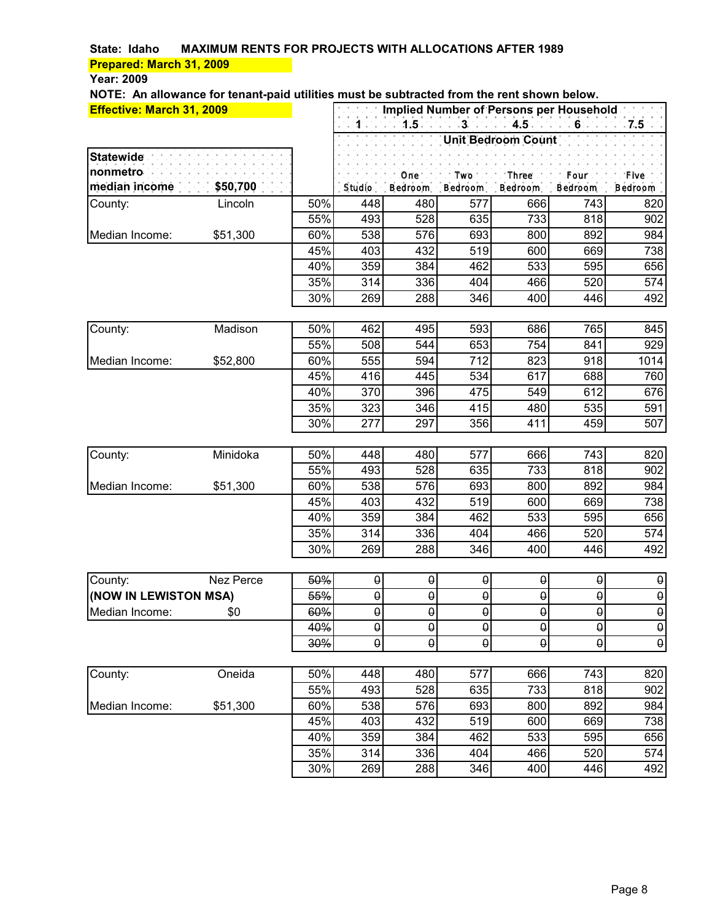#### **Year: 2009**

| $4.5 -$<br>$1.5 -$<br>$-3$<br>$1 - 1$<br>$-6$<br>7.5<br>Unit Bedroom Count<br><b>Statewide</b><br>nonmetro<br>: Three .<br>Onė.<br>$.$ Two $.$<br>.Four :<br>. Five<br>\$50,700<br>median income<br>Studio<br>Bedroom<br>Bedroom<br>Bedroom<br>Bedroom<br>Bedroom<br>50%<br>448<br>480<br>577<br>666<br>743<br>County:<br>Lincoln<br>820<br>55%<br>528<br>733<br>493<br>635<br>818<br>902<br>576<br>\$51,300<br>60%<br>538<br>693<br>800<br>892<br>984<br>Median Income:<br>45%<br>403<br>432<br>519<br>669<br>738<br>600<br>595<br>40%<br>359<br>384<br>462<br>533<br>656<br>35%<br>336<br>466<br>520<br>574<br>314<br>404<br>30%<br>269<br>288<br>346<br>400<br>446<br>492<br>462<br>495<br>765<br>Madison<br>50%<br>593<br>686<br>845<br>County:<br>55%<br>544<br>653<br>754<br>841<br>508<br>929<br>\$52,800<br>60%<br>555<br>594<br>712<br>823<br>918<br>1014<br>Median Income:<br>45%<br>416<br>445<br>534<br>617<br>688<br>760<br>370<br>612<br>40%<br>396<br>475<br>549<br>676<br>35%<br>415<br>480<br>535<br>323<br>346<br>591<br>297<br>30%<br>277<br>356<br>411<br>459<br>507<br>448<br>577<br>743<br>County:<br>Minidoka<br>50%<br>480<br>666<br>820<br>55%<br>493<br>528<br>733<br>818<br>635<br>902<br>576<br>\$51,300<br>60%<br>538<br>693<br>892<br>Median Income:<br>800<br>984<br>45%<br>403<br>432<br>519<br>669<br>738<br>600<br>359<br>595<br>40%<br>384<br>462<br>533<br>656<br>35%<br>336<br>466<br>520<br>574<br>314<br>404<br>30%<br>269<br>288<br>346<br>400<br>446<br>492<br>50%<br>$\pmb{\Theta}$<br>$\pmb{\Theta}$<br>County:<br>$\pmb{\theta}$<br>$\pmb{\Theta}$<br>$\pmb{\uptheta}$<br>Nez Perce<br>$\pmb{\theta}$<br>55%<br>$\pmb{\Theta}$<br>$\Theta$<br>$\pmb{\Theta}$<br>(NOW IN LEWISTON MSA)<br>$\pmb{\Theta}$<br>$\pmb{\uptheta}$<br>$\pmb{\uptheta}$<br>$\theta$<br>$\pmb{\Theta}$<br>$\pmb{\Theta}$<br>$\theta$<br>$\pmb{\Theta}$<br>Median Income:<br>\$0<br>60%<br>$\pmb{\theta}$<br>40%<br>$\theta$<br>$\theta$<br>$\boldsymbol{\theta}$<br>$\boldsymbol{\theta}$<br>$\boldsymbol{\theta}$<br>$\boldsymbol{\theta}$<br>$\overline{\Theta}$<br>$\boldsymbol{\theta}$<br>$\theta$<br>$\Theta$<br>θ<br>$\theta$<br>30%<br>County:<br>Oneida<br>448<br>743<br>50%<br>480<br>577<br>666<br>820<br>55%<br>493<br>528<br>635<br>733<br>818<br>902<br>\$51,300<br>538<br>576<br>892<br>60%<br>693<br>800<br>984<br>Median Income:<br>45%<br>432<br>669<br>403<br>519<br>600<br>738<br>40%<br>359<br>384<br>462<br>533<br>595<br>656 | <b>Effective: March 31, 2009</b> |  |  | Implied Number of Persons per Household |  |
|------------------------------------------------------------------------------------------------------------------------------------------------------------------------------------------------------------------------------------------------------------------------------------------------------------------------------------------------------------------------------------------------------------------------------------------------------------------------------------------------------------------------------------------------------------------------------------------------------------------------------------------------------------------------------------------------------------------------------------------------------------------------------------------------------------------------------------------------------------------------------------------------------------------------------------------------------------------------------------------------------------------------------------------------------------------------------------------------------------------------------------------------------------------------------------------------------------------------------------------------------------------------------------------------------------------------------------------------------------------------------------------------------------------------------------------------------------------------------------------------------------------------------------------------------------------------------------------------------------------------------------------------------------------------------------------------------------------------------------------------------------------------------------------------------------------------------------------------------------------------------------------------------------------------------------------------------------------------------------------------------------------------------------------------------------------------------------------------------------------------------------------------------------------------------------------------------------------------------------------------------------------------------------------------------------------------------------------------------------------------------------------------------------------------------------------------------------------------|----------------------------------|--|--|-----------------------------------------|--|
|                                                                                                                                                                                                                                                                                                                                                                                                                                                                                                                                                                                                                                                                                                                                                                                                                                                                                                                                                                                                                                                                                                                                                                                                                                                                                                                                                                                                                                                                                                                                                                                                                                                                                                                                                                                                                                                                                                                                                                                                                                                                                                                                                                                                                                                                                                                                                                                                                                                                        |                                  |  |  |                                         |  |
|                                                                                                                                                                                                                                                                                                                                                                                                                                                                                                                                                                                                                                                                                                                                                                                                                                                                                                                                                                                                                                                                                                                                                                                                                                                                                                                                                                                                                                                                                                                                                                                                                                                                                                                                                                                                                                                                                                                                                                                                                                                                                                                                                                                                                                                                                                                                                                                                                                                                        |                                  |  |  |                                         |  |
|                                                                                                                                                                                                                                                                                                                                                                                                                                                                                                                                                                                                                                                                                                                                                                                                                                                                                                                                                                                                                                                                                                                                                                                                                                                                                                                                                                                                                                                                                                                                                                                                                                                                                                                                                                                                                                                                                                                                                                                                                                                                                                                                                                                                                                                                                                                                                                                                                                                                        |                                  |  |  |                                         |  |
|                                                                                                                                                                                                                                                                                                                                                                                                                                                                                                                                                                                                                                                                                                                                                                                                                                                                                                                                                                                                                                                                                                                                                                                                                                                                                                                                                                                                                                                                                                                                                                                                                                                                                                                                                                                                                                                                                                                                                                                                                                                                                                                                                                                                                                                                                                                                                                                                                                                                        |                                  |  |  |                                         |  |
|                                                                                                                                                                                                                                                                                                                                                                                                                                                                                                                                                                                                                                                                                                                                                                                                                                                                                                                                                                                                                                                                                                                                                                                                                                                                                                                                                                                                                                                                                                                                                                                                                                                                                                                                                                                                                                                                                                                                                                                                                                                                                                                                                                                                                                                                                                                                                                                                                                                                        |                                  |  |  |                                         |  |
|                                                                                                                                                                                                                                                                                                                                                                                                                                                                                                                                                                                                                                                                                                                                                                                                                                                                                                                                                                                                                                                                                                                                                                                                                                                                                                                                                                                                                                                                                                                                                                                                                                                                                                                                                                                                                                                                                                                                                                                                                                                                                                                                                                                                                                                                                                                                                                                                                                                                        |                                  |  |  |                                         |  |
|                                                                                                                                                                                                                                                                                                                                                                                                                                                                                                                                                                                                                                                                                                                                                                                                                                                                                                                                                                                                                                                                                                                                                                                                                                                                                                                                                                                                                                                                                                                                                                                                                                                                                                                                                                                                                                                                                                                                                                                                                                                                                                                                                                                                                                                                                                                                                                                                                                                                        |                                  |  |  |                                         |  |
|                                                                                                                                                                                                                                                                                                                                                                                                                                                                                                                                                                                                                                                                                                                                                                                                                                                                                                                                                                                                                                                                                                                                                                                                                                                                                                                                                                                                                                                                                                                                                                                                                                                                                                                                                                                                                                                                                                                                                                                                                                                                                                                                                                                                                                                                                                                                                                                                                                                                        |                                  |  |  |                                         |  |
|                                                                                                                                                                                                                                                                                                                                                                                                                                                                                                                                                                                                                                                                                                                                                                                                                                                                                                                                                                                                                                                                                                                                                                                                                                                                                                                                                                                                                                                                                                                                                                                                                                                                                                                                                                                                                                                                                                                                                                                                                                                                                                                                                                                                                                                                                                                                                                                                                                                                        |                                  |  |  |                                         |  |
|                                                                                                                                                                                                                                                                                                                                                                                                                                                                                                                                                                                                                                                                                                                                                                                                                                                                                                                                                                                                                                                                                                                                                                                                                                                                                                                                                                                                                                                                                                                                                                                                                                                                                                                                                                                                                                                                                                                                                                                                                                                                                                                                                                                                                                                                                                                                                                                                                                                                        |                                  |  |  |                                         |  |
|                                                                                                                                                                                                                                                                                                                                                                                                                                                                                                                                                                                                                                                                                                                                                                                                                                                                                                                                                                                                                                                                                                                                                                                                                                                                                                                                                                                                                                                                                                                                                                                                                                                                                                                                                                                                                                                                                                                                                                                                                                                                                                                                                                                                                                                                                                                                                                                                                                                                        |                                  |  |  |                                         |  |
|                                                                                                                                                                                                                                                                                                                                                                                                                                                                                                                                                                                                                                                                                                                                                                                                                                                                                                                                                                                                                                                                                                                                                                                                                                                                                                                                                                                                                                                                                                                                                                                                                                                                                                                                                                                                                                                                                                                                                                                                                                                                                                                                                                                                                                                                                                                                                                                                                                                                        |                                  |  |  |                                         |  |
|                                                                                                                                                                                                                                                                                                                                                                                                                                                                                                                                                                                                                                                                                                                                                                                                                                                                                                                                                                                                                                                                                                                                                                                                                                                                                                                                                                                                                                                                                                                                                                                                                                                                                                                                                                                                                                                                                                                                                                                                                                                                                                                                                                                                                                                                                                                                                                                                                                                                        |                                  |  |  |                                         |  |
|                                                                                                                                                                                                                                                                                                                                                                                                                                                                                                                                                                                                                                                                                                                                                                                                                                                                                                                                                                                                                                                                                                                                                                                                                                                                                                                                                                                                                                                                                                                                                                                                                                                                                                                                                                                                                                                                                                                                                                                                                                                                                                                                                                                                                                                                                                                                                                                                                                                                        |                                  |  |  |                                         |  |
|                                                                                                                                                                                                                                                                                                                                                                                                                                                                                                                                                                                                                                                                                                                                                                                                                                                                                                                                                                                                                                                                                                                                                                                                                                                                                                                                                                                                                                                                                                                                                                                                                                                                                                                                                                                                                                                                                                                                                                                                                                                                                                                                                                                                                                                                                                                                                                                                                                                                        |                                  |  |  |                                         |  |
|                                                                                                                                                                                                                                                                                                                                                                                                                                                                                                                                                                                                                                                                                                                                                                                                                                                                                                                                                                                                                                                                                                                                                                                                                                                                                                                                                                                                                                                                                                                                                                                                                                                                                                                                                                                                                                                                                                                                                                                                                                                                                                                                                                                                                                                                                                                                                                                                                                                                        |                                  |  |  |                                         |  |
|                                                                                                                                                                                                                                                                                                                                                                                                                                                                                                                                                                                                                                                                                                                                                                                                                                                                                                                                                                                                                                                                                                                                                                                                                                                                                                                                                                                                                                                                                                                                                                                                                                                                                                                                                                                                                                                                                                                                                                                                                                                                                                                                                                                                                                                                                                                                                                                                                                                                        |                                  |  |  |                                         |  |
|                                                                                                                                                                                                                                                                                                                                                                                                                                                                                                                                                                                                                                                                                                                                                                                                                                                                                                                                                                                                                                                                                                                                                                                                                                                                                                                                                                                                                                                                                                                                                                                                                                                                                                                                                                                                                                                                                                                                                                                                                                                                                                                                                                                                                                                                                                                                                                                                                                                                        |                                  |  |  |                                         |  |
|                                                                                                                                                                                                                                                                                                                                                                                                                                                                                                                                                                                                                                                                                                                                                                                                                                                                                                                                                                                                                                                                                                                                                                                                                                                                                                                                                                                                                                                                                                                                                                                                                                                                                                                                                                                                                                                                                                                                                                                                                                                                                                                                                                                                                                                                                                                                                                                                                                                                        |                                  |  |  |                                         |  |
|                                                                                                                                                                                                                                                                                                                                                                                                                                                                                                                                                                                                                                                                                                                                                                                                                                                                                                                                                                                                                                                                                                                                                                                                                                                                                                                                                                                                                                                                                                                                                                                                                                                                                                                                                                                                                                                                                                                                                                                                                                                                                                                                                                                                                                                                                                                                                                                                                                                                        |                                  |  |  |                                         |  |
|                                                                                                                                                                                                                                                                                                                                                                                                                                                                                                                                                                                                                                                                                                                                                                                                                                                                                                                                                                                                                                                                                                                                                                                                                                                                                                                                                                                                                                                                                                                                                                                                                                                                                                                                                                                                                                                                                                                                                                                                                                                                                                                                                                                                                                                                                                                                                                                                                                                                        |                                  |  |  |                                         |  |
|                                                                                                                                                                                                                                                                                                                                                                                                                                                                                                                                                                                                                                                                                                                                                                                                                                                                                                                                                                                                                                                                                                                                                                                                                                                                                                                                                                                                                                                                                                                                                                                                                                                                                                                                                                                                                                                                                                                                                                                                                                                                                                                                                                                                                                                                                                                                                                                                                                                                        |                                  |  |  |                                         |  |
|                                                                                                                                                                                                                                                                                                                                                                                                                                                                                                                                                                                                                                                                                                                                                                                                                                                                                                                                                                                                                                                                                                                                                                                                                                                                                                                                                                                                                                                                                                                                                                                                                                                                                                                                                                                                                                                                                                                                                                                                                                                                                                                                                                                                                                                                                                                                                                                                                                                                        |                                  |  |  |                                         |  |
|                                                                                                                                                                                                                                                                                                                                                                                                                                                                                                                                                                                                                                                                                                                                                                                                                                                                                                                                                                                                                                                                                                                                                                                                                                                                                                                                                                                                                                                                                                                                                                                                                                                                                                                                                                                                                                                                                                                                                                                                                                                                                                                                                                                                                                                                                                                                                                                                                                                                        |                                  |  |  |                                         |  |
|                                                                                                                                                                                                                                                                                                                                                                                                                                                                                                                                                                                                                                                                                                                                                                                                                                                                                                                                                                                                                                                                                                                                                                                                                                                                                                                                                                                                                                                                                                                                                                                                                                                                                                                                                                                                                                                                                                                                                                                                                                                                                                                                                                                                                                                                                                                                                                                                                                                                        |                                  |  |  |                                         |  |
|                                                                                                                                                                                                                                                                                                                                                                                                                                                                                                                                                                                                                                                                                                                                                                                                                                                                                                                                                                                                                                                                                                                                                                                                                                                                                                                                                                                                                                                                                                                                                                                                                                                                                                                                                                                                                                                                                                                                                                                                                                                                                                                                                                                                                                                                                                                                                                                                                                                                        |                                  |  |  |                                         |  |
|                                                                                                                                                                                                                                                                                                                                                                                                                                                                                                                                                                                                                                                                                                                                                                                                                                                                                                                                                                                                                                                                                                                                                                                                                                                                                                                                                                                                                                                                                                                                                                                                                                                                                                                                                                                                                                                                                                                                                                                                                                                                                                                                                                                                                                                                                                                                                                                                                                                                        |                                  |  |  |                                         |  |
|                                                                                                                                                                                                                                                                                                                                                                                                                                                                                                                                                                                                                                                                                                                                                                                                                                                                                                                                                                                                                                                                                                                                                                                                                                                                                                                                                                                                                                                                                                                                                                                                                                                                                                                                                                                                                                                                                                                                                                                                                                                                                                                                                                                                                                                                                                                                                                                                                                                                        |                                  |  |  |                                         |  |
|                                                                                                                                                                                                                                                                                                                                                                                                                                                                                                                                                                                                                                                                                                                                                                                                                                                                                                                                                                                                                                                                                                                                                                                                                                                                                                                                                                                                                                                                                                                                                                                                                                                                                                                                                                                                                                                                                                                                                                                                                                                                                                                                                                                                                                                                                                                                                                                                                                                                        |                                  |  |  |                                         |  |
|                                                                                                                                                                                                                                                                                                                                                                                                                                                                                                                                                                                                                                                                                                                                                                                                                                                                                                                                                                                                                                                                                                                                                                                                                                                                                                                                                                                                                                                                                                                                                                                                                                                                                                                                                                                                                                                                                                                                                                                                                                                                                                                                                                                                                                                                                                                                                                                                                                                                        |                                  |  |  |                                         |  |
|                                                                                                                                                                                                                                                                                                                                                                                                                                                                                                                                                                                                                                                                                                                                                                                                                                                                                                                                                                                                                                                                                                                                                                                                                                                                                                                                                                                                                                                                                                                                                                                                                                                                                                                                                                                                                                                                                                                                                                                                                                                                                                                                                                                                                                                                                                                                                                                                                                                                        |                                  |  |  |                                         |  |
|                                                                                                                                                                                                                                                                                                                                                                                                                                                                                                                                                                                                                                                                                                                                                                                                                                                                                                                                                                                                                                                                                                                                                                                                                                                                                                                                                                                                                                                                                                                                                                                                                                                                                                                                                                                                                                                                                                                                                                                                                                                                                                                                                                                                                                                                                                                                                                                                                                                                        |                                  |  |  |                                         |  |
|                                                                                                                                                                                                                                                                                                                                                                                                                                                                                                                                                                                                                                                                                                                                                                                                                                                                                                                                                                                                                                                                                                                                                                                                                                                                                                                                                                                                                                                                                                                                                                                                                                                                                                                                                                                                                                                                                                                                                                                                                                                                                                                                                                                                                                                                                                                                                                                                                                                                        |                                  |  |  |                                         |  |
|                                                                                                                                                                                                                                                                                                                                                                                                                                                                                                                                                                                                                                                                                                                                                                                                                                                                                                                                                                                                                                                                                                                                                                                                                                                                                                                                                                                                                                                                                                                                                                                                                                                                                                                                                                                                                                                                                                                                                                                                                                                                                                                                                                                                                                                                                                                                                                                                                                                                        |                                  |  |  |                                         |  |
|                                                                                                                                                                                                                                                                                                                                                                                                                                                                                                                                                                                                                                                                                                                                                                                                                                                                                                                                                                                                                                                                                                                                                                                                                                                                                                                                                                                                                                                                                                                                                                                                                                                                                                                                                                                                                                                                                                                                                                                                                                                                                                                                                                                                                                                                                                                                                                                                                                                                        |                                  |  |  |                                         |  |
|                                                                                                                                                                                                                                                                                                                                                                                                                                                                                                                                                                                                                                                                                                                                                                                                                                                                                                                                                                                                                                                                                                                                                                                                                                                                                                                                                                                                                                                                                                                                                                                                                                                                                                                                                                                                                                                                                                                                                                                                                                                                                                                                                                                                                                                                                                                                                                                                                                                                        |                                  |  |  |                                         |  |
|                                                                                                                                                                                                                                                                                                                                                                                                                                                                                                                                                                                                                                                                                                                                                                                                                                                                                                                                                                                                                                                                                                                                                                                                                                                                                                                                                                                                                                                                                                                                                                                                                                                                                                                                                                                                                                                                                                                                                                                                                                                                                                                                                                                                                                                                                                                                                                                                                                                                        |                                  |  |  |                                         |  |
|                                                                                                                                                                                                                                                                                                                                                                                                                                                                                                                                                                                                                                                                                                                                                                                                                                                                                                                                                                                                                                                                                                                                                                                                                                                                                                                                                                                                                                                                                                                                                                                                                                                                                                                                                                                                                                                                                                                                                                                                                                                                                                                                                                                                                                                                                                                                                                                                                                                                        |                                  |  |  |                                         |  |
| 35%<br>314<br>336<br>404<br>520<br>574<br>466                                                                                                                                                                                                                                                                                                                                                                                                                                                                                                                                                                                                                                                                                                                                                                                                                                                                                                                                                                                                                                                                                                                                                                                                                                                                                                                                                                                                                                                                                                                                                                                                                                                                                                                                                                                                                                                                                                                                                                                                                                                                                                                                                                                                                                                                                                                                                                                                                          |                                  |  |  |                                         |  |
| 30%<br>346<br>269<br>288<br>400<br>446<br>492                                                                                                                                                                                                                                                                                                                                                                                                                                                                                                                                                                                                                                                                                                                                                                                                                                                                                                                                                                                                                                                                                                                                                                                                                                                                                                                                                                                                                                                                                                                                                                                                                                                                                                                                                                                                                                                                                                                                                                                                                                                                                                                                                                                                                                                                                                                                                                                                                          |                                  |  |  |                                         |  |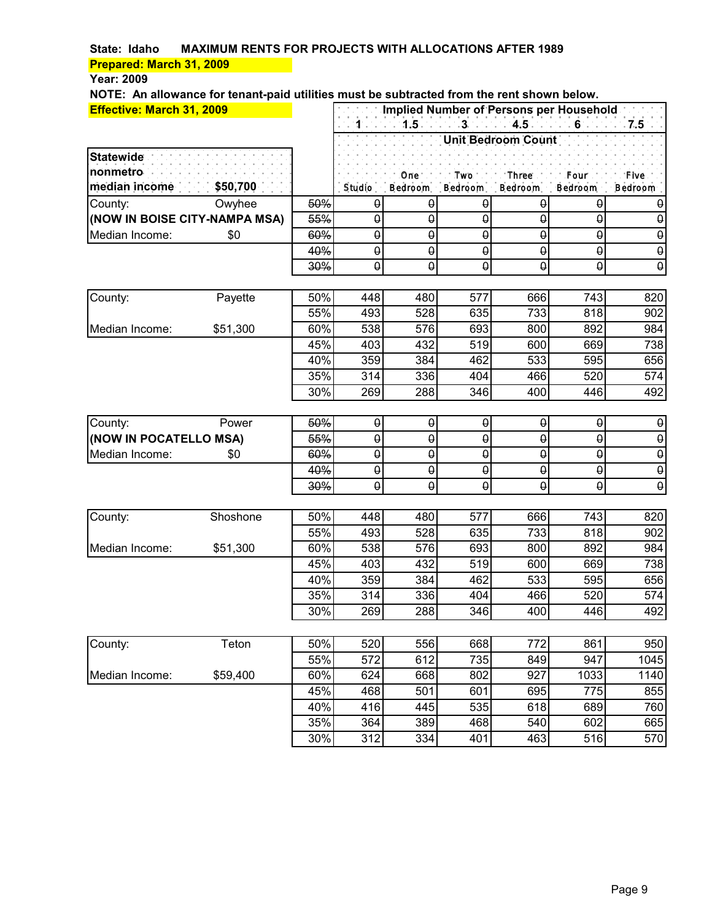**Year: 2009**

| <b>Effective: March 31, 2009</b> |          |            | Implied Number of Persons per Household |                  |                       |                    |                       |                       |
|----------------------------------|----------|------------|-----------------------------------------|------------------|-----------------------|--------------------|-----------------------|-----------------------|
|                                  |          |            | $1 - 1$                                 | $1.5 -$          | $3 - 3 - 4.5$         |                    |                       | $-7.5$                |
|                                  |          |            |                                         |                  |                       | Unit Bedroom Count |                       |                       |
| <b>Statewide</b>                 |          |            |                                         |                  |                       |                    |                       |                       |
| nonmetro                         |          |            |                                         | One.             | Two <sup>-</sup> .    | Three.             | .Four :               | . Five                |
| median income                    | \$50,700 |            | Studio                                  | Bedroom          | Bedroom               | <b>Bedroom</b>     | Bedroom               | Bedroom               |
| County:                          | Owyhee   | 50%        | $\pmb{\Theta}$                          | $\pmb{\uptheta}$ | $\pmb{\uptheta}$      | $\pmb{\theta}$     | $\theta$              | θ                     |
| (NOW IN BOISE CITY-NAMPA MSA)    |          | 55%        | $\pmb{\Theta}$                          | $\pmb{\Theta}$   | θ                     | θ                  | $\pmb{\theta}$        | $\pmb{\Theta}$        |
| Median Income:                   | \$0      | 60%        | $\boldsymbol{\theta}$                   | θ                | $\theta$              | θ                  | $\boldsymbol{\theta}$ | $\boldsymbol{\theta}$ |
|                                  |          | 40%        | $\Theta$                                | θ                | θ                     | $\Theta$           | $\boldsymbol{\theta}$ | $\boldsymbol{\theta}$ |
|                                  |          | 30%        | $\theta$                                | θ                | θ                     | $\theta$           | $\pmb{\theta}$        | $\boldsymbol{\theta}$ |
|                                  |          |            |                                         |                  |                       |                    |                       |                       |
| County:                          | Payette  | 50%        | 448                                     | 480              | 577                   | 666                | 743                   | 820                   |
|                                  |          | 55%        | 493                                     | 528              | 635                   | 733                | 818                   | 902                   |
| Median Income:                   | \$51,300 | 60%        | 538                                     | 576              | 693                   | 800                | 892                   | 984                   |
|                                  |          | 45%        | 403                                     | 432              | 519                   | 600                | 669                   | 738                   |
|                                  |          | 40%        | 359                                     | 384              | 462                   | 533                | 595                   | 656                   |
|                                  |          | 35%        | 314                                     | 336              | 404                   | 466                | 520                   | 574                   |
|                                  |          | 30%        | 269                                     | 288              | 346                   | 400                | 446                   | 492                   |
|                                  |          |            |                                         |                  |                       |                    |                       |                       |
| County:                          | Power    | 50%        | $\theta$                                | $\pmb{\Theta}$   | $\pmb{\theta}$        | $\pmb{\uptheta}$   | $\Theta$              | $\boldsymbol{\theta}$ |
| (NOW IN POCATELLO MSA)           |          | 55%        | $\theta$                                | $\theta$         | $\theta$              | $\theta$           | $\Theta$              | $\pmb{\uptheta}$      |
| Median Income:                   | \$0      | 60%        | $\Theta$                                | θ                | $\boldsymbol{\theta}$ | $\theta$           | $\theta$              | $\boldsymbol{\theta}$ |
|                                  |          | 40%        | $\boldsymbol{\theta}$                   | $\pmb{\Theta}$   | $\pmb{\Theta}$        | $\Theta$           | $\boldsymbol{\theta}$ | $\boldsymbol{\theta}$ |
|                                  |          | 30%        | $\pmb{\Theta}$                          | θ                | θ                     | θ                  | $\pmb{\theta}$        | $\pmb{\theta}$        |
|                                  |          |            |                                         |                  |                       |                    |                       |                       |
| County:                          | Shoshone | 50%        | 448                                     | 480              | 577                   | 666                | 743                   | 820                   |
|                                  |          | 55%        | 493                                     | 528              | 635                   | 733                | 818                   | 902                   |
| Median Income:                   | \$51,300 | 60%        | 538                                     | 576              | 693                   | 800                | 892                   | 984                   |
|                                  |          | 45%        | 403                                     | 432              | 519                   | 600                | 669                   | 738                   |
|                                  |          | 40%        | 359                                     | 384              | 462                   | 533                | 595                   | 656                   |
|                                  |          | 35%        | 314                                     | 336              | 404                   | 466                | 520                   | 574                   |
|                                  |          | 30%        | 269                                     | 288              | 346                   | 400                | 446                   | 492                   |
|                                  |          |            |                                         |                  |                       |                    |                       |                       |
| County:                          | Teton    | 50%        | 520<br>572                              | 556<br>612       | 668                   | 772                | 861<br>947            | 950                   |
| Median Income:                   | \$59,400 | 55%<br>60% | 624                                     | 668              | 735<br>802            | 849<br>927         | 1033                  | 1045                  |
|                                  |          | 45%        | 468                                     | 501              | 601                   | 695                | 775                   | 1140<br>855           |
|                                  |          | 40%        | 416                                     | 445              | 535                   | 618                | 689                   | 760                   |
|                                  |          | 35%        | 364                                     | 389              | 468                   | 540                | 602                   | 665                   |
|                                  |          |            |                                         |                  |                       |                    |                       |                       |
|                                  |          | 30%        | 312                                     | 334              | 401                   | 463                | 516                   | 570                   |